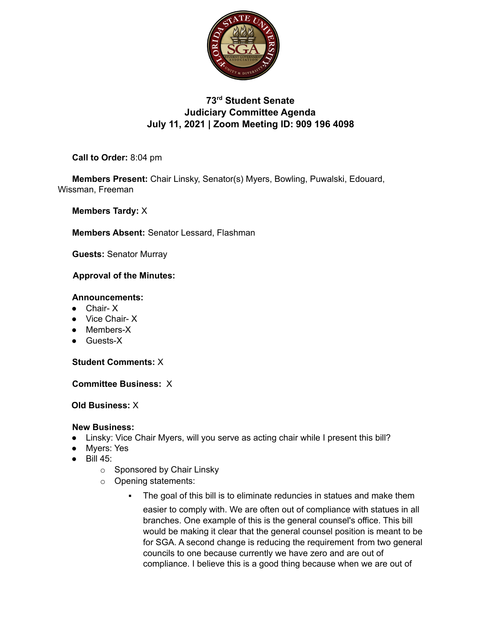

# **73rd Student Senate Judiciary Committee Agenda July 11, 2021 | Zoom Meeting ID: 909 196 4098**

**Call to Order:** 8:04 pm

**Members Present:** Chair Linsky, Senator(s) Myers, Bowling, Puwalski, Edouard, Wissman, Freeman

**Members Tardy:** X

**Members Absent:** Senator Lessard, Flashman

**Guests:** Senator Murray

## **Approval of the Minutes:**

#### **Announcements:**

- Chair- X
- Vice Chair- X
- Members-X
- Guests-X

**Student Comments:** X

**Committee Business:** X

**Old Business:** X

## **New Business:**

- **●** Linsky: Vice Chair Myers, will you serve as acting chair while I present this bill?
- Myers: Yes
- Bill 45:
	- o Sponsored by Chair Linsky
	- o Opening statements:
		- **•** The goal of this bill is to eliminate reduncies in statues and make them easier to comply with. We are often out of compliance with statues in all branches. One example of this is the general counsel's office. This bill would be making it clear that the general counsel position is meant to be for SGA. A second change is reducing the requirement from two general councils to one because currently we have zero and are out of compliance. I believe this is a good thing because when we are out of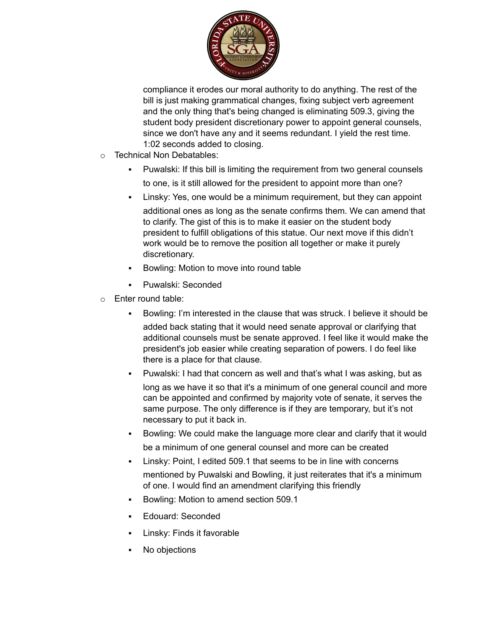

compliance it erodes our moral authority to do anything. The rest of the bill is just making grammatical changes, fixing subject verb agreement and the only thing that's being changed is eliminating 509.3, giving the student body president discretionary power to appoint general counsels, since we don't have any and it seems redundant. I yield the rest time. 1:02 seconds added to closing.

- o Technical Non Debatables:
	- Puwalski: If this bill is limiting the requirement from two general counsels to one, is it still allowed for the president to appoint more than one?
	- Linsky: Yes, one would be a minimum requirement, but they can appoint additional ones as long as the senate confirms them. We can amend that to clarify. The gist of this is to make it easier on the student body president to fulfill obligations of this statue. Our next move if this didn't work would be to remove the position all together or make it purely discretionary.
	- Bowling: Motion to move into round table
	- Puwalski: Seconded
- o Enter round table:
	- Bowling: I'm interested in the clause that was struck. I believe it should be added back stating that it would need senate approval or clarifying that additional counsels must be senate approved. I feel like it would make the president's job easier while creating separation of powers. I do feel like there is a place for that clause.
	- Puwalski: I had that concern as well and that's what I was asking, but as long as we have it so that it's a minimum of one general council and more can be appointed and confirmed by majority vote of senate, it serves the same purpose. The only difference is if they are temporary, but it's not necessary to put it back in.
	- Bowling: We could make the language more clear and clarify that it would be a minimum of one general counsel and more can be created
	- Linsky: Point, I edited 509.1 that seems to be in line with concerns mentioned by Puwalski and Bowling, it just reiterates that it's a minimum of one. I would find an amendment clarifying this friendly
	- Bowling: Motion to amend section 509.1
	- Edouard: Seconded
	- Linsky: Finds it favorable
	- No objections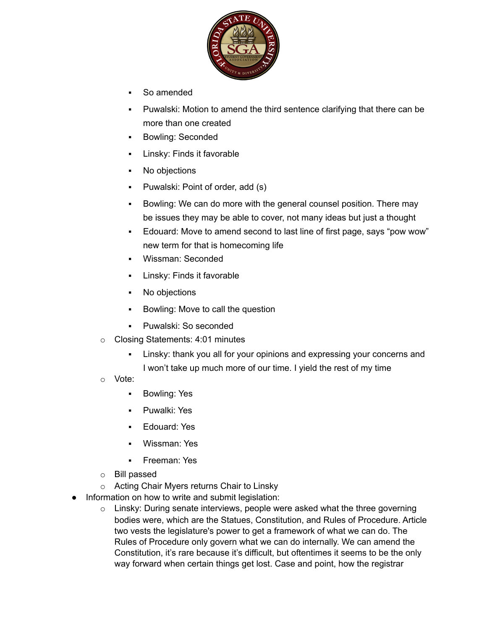

- So amended
- Puwalski: Motion to amend the third sentence clarifying that there can be more than one created
- Bowling: Seconded
- Linsky: Finds it favorable
- No objections
- Puwalski: Point of order, add (s)
- Bowling: We can do more with the general counsel position. There may be issues they may be able to cover, not many ideas but just a thought
- Edouard: Move to amend second to last line of first page, says "pow wow" new term for that is homecoming life
- Wissman: Seconded
- Linsky: Finds it favorable
- No objections
- Bowling: Move to call the question
- Puwalski: So seconded
- o Closing Statements: 4:01 minutes
	- Linsky: thank you all for your opinions and expressing your concerns and I won't take up much more of our time. I yield the rest of my time
- o Vote:
	- Bowling: Yes
	- Puwalki: Yes
	- Edouard: Yes
	- Wissman: Yes
	- Freeman: Yes
- o Bill passed
- o Acting Chair Myers returns Chair to Linsky
- Information on how to write and submit legislation:
	- o Linsky: During senate interviews, people were asked what the three governing bodies were, which are the Statues, Constitution, and Rules of Procedure. Article two vests the legislature's power to get a framework of what we can do. The Rules of Procedure only govern what we can do internally. We can amend the Constitution, it's rare because it's difficult, but oftentimes it seems to be the only way forward when certain things get lost. Case and point, how the registrar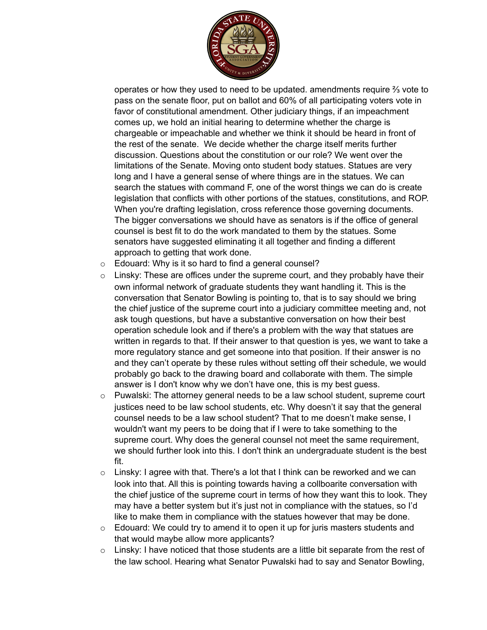

operates or how they used to need to be updated. amendments require ⅔ vote to pass on the senate floor, put on ballot and 60% of all participating voters vote in favor of constitutional amendment. Other judiciary things, if an impeachment comes up, we hold an initial hearing to determine whether the charge is chargeable or impeachable and whether we think it should be heard in front of the rest of the senate. We decide whether the charge itself merits further discussion. Questions about the constitution or our role? We went over the limitations of the Senate. Moving onto student body statues. Statues are very long and I have a general sense of where things are in the statues. We can search the statues with command F, one of the worst things we can do is create legislation that conflicts with other portions of the statues, constitutions, and ROP. When you're drafting legislation, cross reference those governing documents. The bigger conversations we should have as senators is if the office of general counsel is best fit to do the work mandated to them by the statues. Some senators have suggested eliminating it all together and finding a different approach to getting that work done.

- $\circ$  Edouard: Why is it so hard to find a general counsel?
- o Linsky: These are offices under the supreme court, and they probably have their own informal network of graduate students they want handling it. This is the conversation that Senator Bowling is pointing to, that is to say should we bring the chief justice of the supreme court into a judiciary committee meeting and, not ask tough questions, but have a substantive conversation on how their best operation schedule look and if there's a problem with the way that statues are written in regards to that. If their answer to that question is yes, we want to take a more regulatory stance and get someone into that position. If their answer is no and they can't operate by these rules without setting off their schedule, we would probably go back to the drawing board and collaborate with them. The simple answer is I don't know why we don't have one, this is my best guess.
- o Puwalski: The attorney general needs to be a law school student, supreme court justices need to be law school students, etc. Why doesn't it say that the general counsel needs to be a law school student? That to me doesn't make sense, I wouldn't want my peers to be doing that if I were to take something to the supreme court. Why does the general counsel not meet the same requirement, we should further look into this. I don't think an undergraduate student is the best fit.
- $\circ$  Linsky: I agree with that. There's a lot that I think can be reworked and we can look into that. All this is pointing towards having a collboarite conversation with the chief justice of the supreme court in terms of how they want this to look. They may have a better system but it's just not in compliance with the statues, so I'd like to make them in compliance with the statues however that may be done.
- $\circ$  Edouard: We could try to amend it to open it up for juris masters students and that would maybe allow more applicants?
- $\circ$  Linsky: I have noticed that those students are a little bit separate from the rest of the law school. Hearing what Senator Puwalski had to say and Senator Bowling,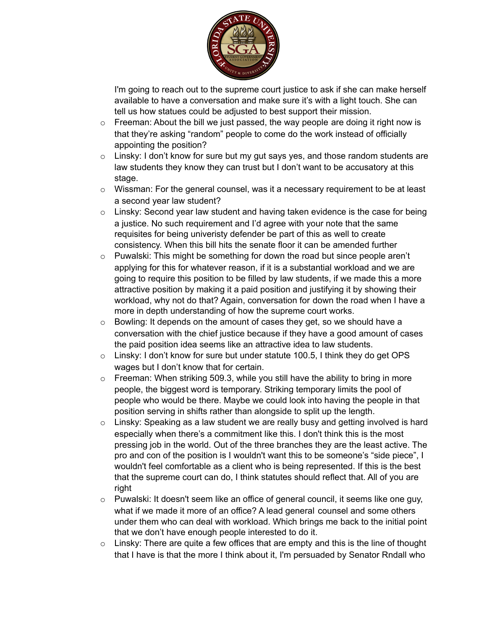

I'm going to reach out to the supreme court justice to ask if she can make herself available to have a conversation and make sure it's with a light touch. She can tell us how statues could be adjusted to best support their mission.

- $\circ$  Freeman: About the bill we just passed, the way people are doing it right now is that they're asking "random" people to come do the work instead of officially appointing the position?
- o Linsky: I don't know for sure but my gut says yes, and those random students are law students they know they can trust but I don't want to be accusatory at this stage.
- o Wissman: For the general counsel, was it a necessary requirement to be at least a second year law student?
- $\circ$  Linsky: Second year law student and having taken evidence is the case for being a justice. No such requirement and I'd agree with your note that the same requisites for being univeristy defender be part of this as well to create consistency. When this bill hits the senate floor it can be amended further
- o Puwalski: This might be something for down the road but since people aren't applying for this for whatever reason, if it is a substantial workload and we are going to require this position to be filled by law students, if we made this a more attractive position by making it a paid position and justifying it by showing their workload, why not do that? Again, conversation for down the road when I have a more in depth understanding of how the supreme court works.
- o Bowling: It depends on the amount of cases they get, so we should have a conversation with the chief justice because if they have a good amount of cases the paid position idea seems like an attractive idea to law students.
- o Linsky: I don't know for sure but under statute 100.5, I think they do get OPS wages but I don't know that for certain.
- $\circ$  Freeman: When striking 509.3, while you still have the ability to bring in more people, the biggest word is temporary. Striking temporary limits the pool of people who would be there. Maybe we could look into having the people in that position serving in shifts rather than alongside to split up the length.
- $\circ$  Linsky: Speaking as a law student we are really busy and getting involved is hard especially when there's a commitment like this. I don't think this is the most pressing job in the world. Out of the three branches they are the least active. The pro and con of the position is I wouldn't want this to be someone's "side piece", I wouldn't feel comfortable as a client who is being represented. If this is the best that the supreme court can do, I think statutes should reflect that. All of you are right
- $\circ$  Puwalski: It doesn't seem like an office of general council, it seems like one guy, what if we made it more of an office? A lead general counsel and some others under them who can deal with workload. Which brings me back to the initial point that we don't have enough people interested to do it.
- $\circ$  Linsky: There are quite a few offices that are empty and this is the line of thought that I have is that the more I think about it, I'm persuaded by Senator Rndall who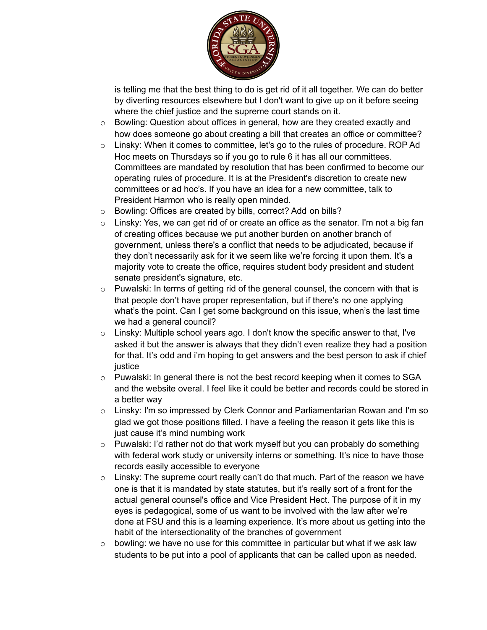

is telling me that the best thing to do is get rid of it all together. We can do better by diverting resources elsewhere but I don't want to give up on it before seeing where the chief justice and the supreme court stands on it.

- o Bowling: Question about offices in general, how are they created exactly and how does someone go about creating a bill that creates an office or committee?
- o Linsky: When it comes to committee, let's go to the rules of procedure. ROP Ad Hoc meets on Thursdays so if you go to rule 6 it has all our committees. Committees are mandated by resolution that has been confirmed to become our operating rules of procedure. It is at the President's discretion to create new committees or ad hoc's. If you have an idea for a new committee, talk to President Harmon who is really open minded.
- o Bowling: Offices are created by bills, correct? Add on bills?
- o Linsky: Yes, we can get rid of or create an office as the senator. I'm not a big fan of creating offices because we put another burden on another branch of government, unless there's a conflict that needs to be adjudicated, because if they don't necessarily ask for it we seem like we're forcing it upon them. It's a majority vote to create the office, requires student body president and student senate president's signature, etc.
- o Puwalski: In terms of getting rid of the general counsel, the concern with that is that people don't have proper representation, but if there's no one applying what's the point. Can I get some background on this issue, when's the last time we had a general council?
- $\circ$  Linsky: Multiple school years ago. I don't know the specific answer to that, I've asked it but the answer is always that they didn't even realize they had a position for that. It's odd and i'm hoping to get answers and the best person to ask if chief justice
- $\circ$  Puwalski: In general there is not the best record keeping when it comes to SGA and the website overal. I feel like it could be better and records could be stored in a better way
- o Linsky: I'm so impressed by Clerk Connor and Parliamentarian Rowan and I'm so glad we got those positions filled. I have a feeling the reason it gets like this is just cause it's mind numbing work
- o Puwalski: I'd rather not do that work myself but you can probably do something with federal work study or university interns or something. It's nice to have those records easily accessible to everyone
- $\circ$  Linsky: The supreme court really can't do that much. Part of the reason we have one is that it is mandated by state statutes, but it's really sort of a front for the actual general counsel's office and Vice President Hect. The purpose of it in my eyes is pedagogical, some of us want to be involved with the law after we're done at FSU and this is a learning experience. It's more about us getting into the habit of the intersectionality of the branches of government
- $\circ$  bowling: we have no use for this committee in particular but what if we ask law students to be put into a pool of applicants that can be called upon as needed.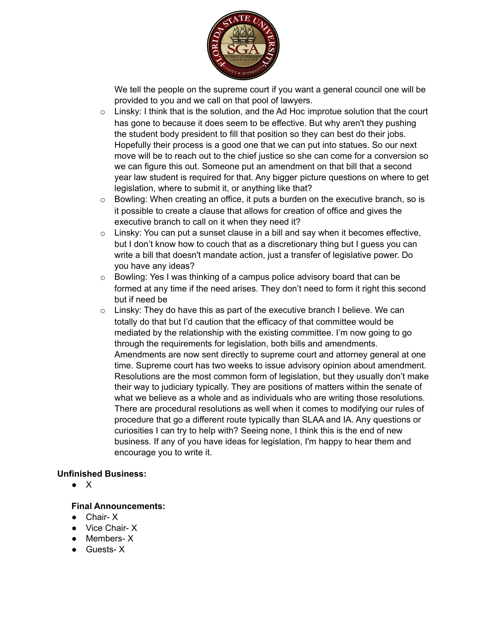

We tell the people on the supreme court if you want a general council one will be provided to you and we call on that pool of lawyers.

- $\circ$  Linsky: I think that is the solution, and the Ad Hoc improtue solution that the court has gone to because it does seem to be effective. But why aren't they pushing the student body president to fill that position so they can best do their jobs. Hopefully their process is a good one that we can put into statues. So our next move will be to reach out to the chief justice so she can come for a conversion so we can figure this out. Someone put an amendment on that bill that a second year law student is required for that. Any bigger picture questions on where to get legislation, where to submit it, or anything like that?
- o Bowling: When creating an office, it puts a burden on the executive branch, so is it possible to create a clause that allows for creation of office and gives the executive branch to call on it when they need it?
- $\circ$  Linsky: You can put a sunset clause in a bill and say when it becomes effective, but I don't know how to couch that as a discretionary thing but I guess you can write a bill that doesn't mandate action, just a transfer of legislative power. Do you have any ideas?
- o Bowling: Yes I was thinking of a campus police advisory board that can be formed at any time if the need arises. They don't need to form it right this second but if need be
- $\circ$  Linsky: They do have this as part of the executive branch I believe. We can totally do that but I'd caution that the efficacy of that committee would be mediated by the relationship with the existing committee. I'm now going to go through the requirements for legislation, both bills and amendments. Amendments are now sent directly to supreme court and attorney general at one time. Supreme court has two weeks to issue advisory opinion about amendment. Resolutions are the most common form of legislation, but they usually don't make their way to judiciary typically. They are positions of matters within the senate of what we believe as a whole and as individuals who are writing those resolutions. There are procedural resolutions as well when it comes to modifying our rules of procedure that go a different route typically than SLAA and IA. Any questions or curiosities I can try to help with? Seeing none, I think this is the end of new business. If any of you have ideas for legislation, I'm happy to hear them and encourage you to write it.

## **Unfinished Business:**

● X

## **Final Announcements:**

- Chair- X
- Vice Chair- X
- Members-X
- Guests-X